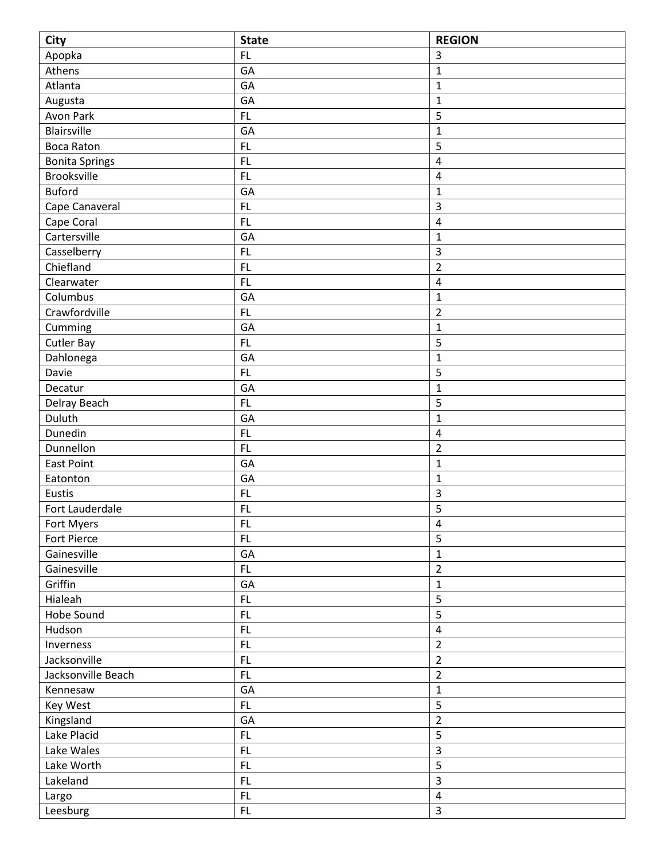| <b>City</b>           | <b>State</b> | <b>REGION</b>           |
|-----------------------|--------------|-------------------------|
| Apopka                | FL           | 3                       |
| Athens                | GA           | $\mathbf 1$             |
| Atlanta               | GA           | $\mathbf 1$             |
| Augusta               | GA           | $\mathbf{1}$            |
| Avon Park             | FL.          | 5                       |
| <b>Blairsville</b>    | GA           | 1                       |
| <b>Boca Raton</b>     | <b>FL</b>    | 5                       |
| <b>Bonita Springs</b> | FL           | 4                       |
| <b>Brooksville</b>    | <b>FL</b>    | $\overline{\mathbf{4}}$ |
| <b>Buford</b>         | GA           | $\mathbf 1$             |
| Cape Canaveral        | FL           | 3                       |
| Cape Coral            | FL.          | $\overline{\mathbf{4}}$ |
| Cartersville          | GA           | $\mathbf 1$             |
| Casselberry           | FL           | 3                       |
| Chiefland             | <b>FL</b>    | $\overline{2}$          |
| Clearwater            | FL.          | 4                       |
| Columbus              | GA           | $\mathbf{1}$            |
| Crawfordville         | FL           | $\overline{2}$          |
| Cumming               | GA           | $\mathbf 1$             |
| <b>Cutler Bay</b>     | FL           | 5                       |
| Dahlonega             | GA           | $\mathbf 1$             |
| Davie                 | FL           | 5                       |
| Decatur               | GA           | $\mathbf 1$             |
| Delray Beach          | <b>FL</b>    | 5                       |
| Duluth                | GA           | $\mathbf 1$             |
| Dunedin               | FL           | $\overline{\mathbf{4}}$ |
| Dunnellon             | FL           | $\overline{2}$          |
| <b>East Point</b>     | GA           | $\mathbf 1$             |
| Eatonton              | GA           | $\mathbf 1$             |
| Eustis                | FL           | 3                       |
| Fort Lauderdale       | <b>FL</b>    | 5                       |
| Fort Myers            | FL           | $\overline{4}$          |
| Fort Pierce           | FL.          | 5                       |
| Gainesville           | GA           | $\mathbf{1}$            |
| Gainesville           | FL.          | $\overline{2}$          |
| Griffin               | GA           | $\mathbf 1$             |
| Hialeah               | FL           | 5                       |
| Hobe Sound            | FL           | 5                       |
| Hudson                | FL           | $\overline{4}$          |
| Inverness             | FL           | $\overline{2}$          |
| Jacksonville          | FL           | $\overline{2}$          |
| Jacksonville Beach    | FL           | $\overline{2}$          |
| Kennesaw              | GA           | $\mathbf 1$             |
| Key West              | FL.          | 5                       |
| Kingsland             | GA           | $\overline{2}$          |
| Lake Placid           | FL           | 5                       |
| Lake Wales            | FL           | 3                       |
| Lake Worth            | FL           | 5                       |
| Lakeland              | <b>FL</b>    | 3                       |
| Largo                 | FL           | $\overline{4}$          |
| Leesburg              | FL           | 3                       |